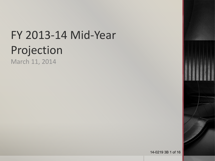# FY 2013-14 Mid-Year Projection

March 11, 2014

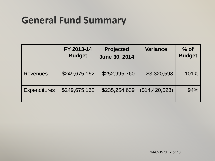## **General Fund Summary**

|                     | FY 2013-14<br><b>Budget</b> | <b>Projected</b><br><b>June 30, 2014</b> | <b>Variance</b> | $%$ of<br><b>Budget</b> |
|---------------------|-----------------------------|------------------------------------------|-----------------|-------------------------|
| <b>Revenues</b>     | \$249,675,162               | \$252,995,760                            | \$3,320,598     | 101%                    |
| <b>Expenditures</b> | \$249,675,162               | \$235,254,639                            | (\$14,420,523)  | 94%                     |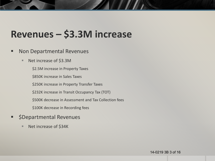#### **Revenues – \$3.3M increase**

#### Non Departmental Revenues

■ Net increase of \$3.3M

\$2.5M increase in Property Taxes

\$850K increase in Sales Taxes

\$250K increase in Property Transfer Taxes

\$232K increase in Transit Occupancy Tax (TOT)

\$500K decrease in Assessment and Tax Collection fees

\$100K decrease in Recording fees

- \$Departmental Revenues
	- Net increase of \$34K

14-0219 3B 3 of 16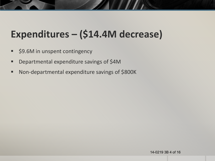## **Expenditures – (\$14.4M decrease)**

- \$9.6M in unspent contingency
- **•** Departmental expenditure savings of \$4M
- Non-departmental expenditure savings of \$800K

14-0219 3B 4 of 16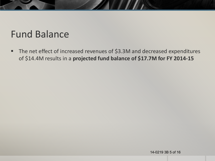#### Fund Balance

■ The net effect of increased revenues of \$3.3M and decreased expenditures of \$14.4M results in a **projected fund balance of \$17.7M for FY 2014-15**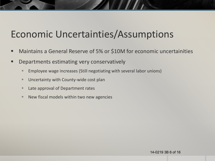#### Economic Uncertainties/Assumptions

- Maintains a General Reserve of 5% or \$10M for economic uncertainities
- **Departments estimating very conservatively** 
	- **Employee wage increases (Still negotiating with several labor unions)**
	- **Uncertainty with County-wide cost plan**
	- Late approval of Department rates
	- $\blacksquare$  New fiscal models within two new agencies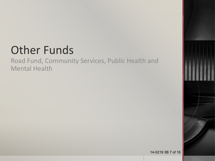# Other Funds

Road Fund, Community Services, Public Health and Mental Health

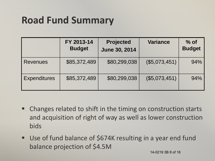## **Road Fund Summary**

|                     | FY 2013-14<br><b>Budget</b> | <b>Projected</b><br><b>June 30, 2014</b> | <b>Variance</b> | $%$ of<br><b>Budget</b> |
|---------------------|-----------------------------|------------------------------------------|-----------------|-------------------------|
| <b>Revenues</b>     | \$85,372,489                | \$80,299,038                             | (\$5,073,451)   | 94%                     |
| <b>Expenditures</b> | \$85,372,489                | \$80,299,038                             | (\$5,073,451)   | 94%                     |

- Changes related to shift in the timing on construction starts and acquisition of right of way as well as lower construction bids
- Use of fund balance of \$674K resulting in a year end fund balance projection of \$4.5M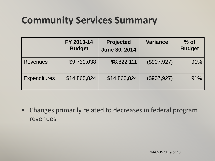## **Community Services Summary**

|                     | FY 2013-14<br><b>Budget</b> | <b>Projected</b><br><b>June 30, 2014</b> | <b>Variance</b>           | $%$ of<br><b>Budget</b> |
|---------------------|-----------------------------|------------------------------------------|---------------------------|-------------------------|
| <b>Revenues</b>     | \$9,730,038                 | \$8,822,111                              | $($ \$907,927) $^{\circ}$ | 91%                     |
| <b>Expenditures</b> | \$14,865,824                | \$14,865,824                             | (\$907,927)               | 91%                     |

 Changes primarily related to decreases in federal program revenues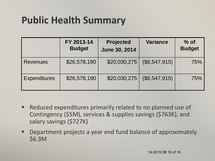## **Public Health Summary**

|                     | FY 2013-14<br><b>Budget</b> | <b>Projected</b><br><b>June 30, 2014</b> | <b>Variance</b> | $%$ of<br><b>Budget</b> |
|---------------------|-----------------------------|------------------------------------------|-----------------|-------------------------|
| <b>Revenues</b>     | \$26,578,190                | \$20,030,275                             | (\$6,547,915)   | 75%                     |
| <b>Expenditures</b> | \$26,578,190                | \$20,030,275                             | (\$6,547,915)   | 75%                     |

- Reduced expenditures primarily related to no planned use of Contingency (\$5M), services & supplies savings (\$763K), and salary savings (\$727K)
- Department projects a year end fund balance of approximately \$6.3M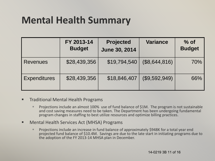### **Mental Health Summary**

|                     | FY 2013-14<br><b>Budget</b> | <b>Projected</b><br><b>June 30, 2014</b> | <b>Variance</b> | $%$ of<br><b>Budget</b> |
|---------------------|-----------------------------|------------------------------------------|-----------------|-------------------------|
| <b>Revenues</b>     | \$28,439,356                | \$19,794,540                             | (\$8,644,816)   | 70%                     |
| <b>Expenditures</b> | \$28,439,356                | \$18,846,407                             | (\$9,592,949)   | 66%                     |

- **Traditional Mental Health Programs** 
	- **Projections include an almost 100% use of fund balance of \$1M. The program is not sustainable** and cost saving measures need to be taken. The Department has been undergoing fundamental program changes in staffing to best utilize resources and optimize billing practices.
- Mental Health Services Act (MHSA) Programs
	- **Projections include an increase in fund balance of approximately \$948K for a total year end** projected fund balance of \$10.4M. Savings are due to the late start in initiating programs due to the adoption of the FY 2013-14 MHSA plan in December.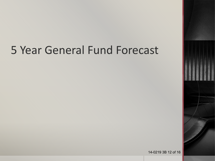## 5 Year General Fund Forecast

14-0219 3B 12 of 16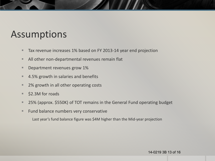#### Assumptions

- **Tax revenue increases 1% based on FY 2013-14 year end projection**
- All other non-departmental revenues remain flat
- **Department revenues grow 1%**
- 4.5% growth in salaries and benefits
- 2% growth in all other operating costs
- **S2.3M** for roads
- 25% (approx. \$550K) of TOT remains in the General Fund operating budget
- **Fund balance numbers very conservative**

Last year's fund balance figure was \$4M higher than the Mid-year projection

#### 14-0219 3B 13 of 16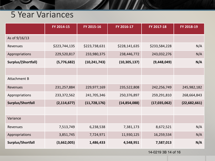#### 5 Year Variances

|                     | FY 2014-15    | FY 2015-16     | FY 2016-17     | FY 2017-18     | FY 2018-19     |
|---------------------|---------------|----------------|----------------|----------------|----------------|
| As of 9/16/13       |               |                |                |                |                |
| Revenues            | \$223,744,135 | \$223,738,631  | \$228,141,635  | \$233,584,228  | N/A            |
| Appropriations      | 229,520,817   | 233,980,375    | 238,446,772    | 243,032,276    | N/A            |
| Surplus/(Shortfall) | (5,776,682)   | (10, 241, 743) | (10, 305, 137) | (9,448,049)    | N/A            |
|                     |               |                |                |                |                |
| Attachment B        |               |                |                |                |                |
| Revenues            | 231,257,884   | 229,977,169    | 235,522,808    | 242,256,749    | 245,982,182    |
| Appropriations      | 233, 372, 562 | 241,705,346    | 250,376,897    | 259,291,810    | 268,664,843    |
| Surplus/Shortfall   | (2, 114, 677) | (11, 728, 176) | (14, 854, 088) | (17, 035, 062) | (22, 682, 661) |
|                     |               |                |                |                |                |
| Variance            |               |                |                |                |                |
| Revenues            | 7,513,749     | 6,238,538      | 7,381,173      | 8,672,521      | N/A            |
| Appropriations      | 3,851,745     | 7,724,971      | 11,930,125     | 16,259,534     | N/A            |
| Surplus/Shortfall   | (3,662,005)   | 1,486,433      | 4,548,951      | 7,587,013      | N/A            |

**ZANDI DE LA PERSONA DE LA PERSONA DE LA PERSONA DE LA PERSONA DE LA PERSONA DE LA PERSONA DE LA PERSONA DE LA** 

14-0219 3B 14 of 16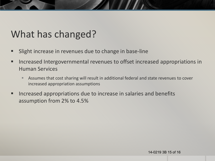#### What has changed?

- Slight increase in revenues due to change in base-line
- **If Let assementiaty in the Intergovernmental revenues to offset increased appropriations in** Human Services
	- Assumes that cost sharing will result in additional federal and state revenues to cover increased appropriation assumptions
- Increased appropriations due to increase in salaries and benefits assumption from 2% to 4.5%